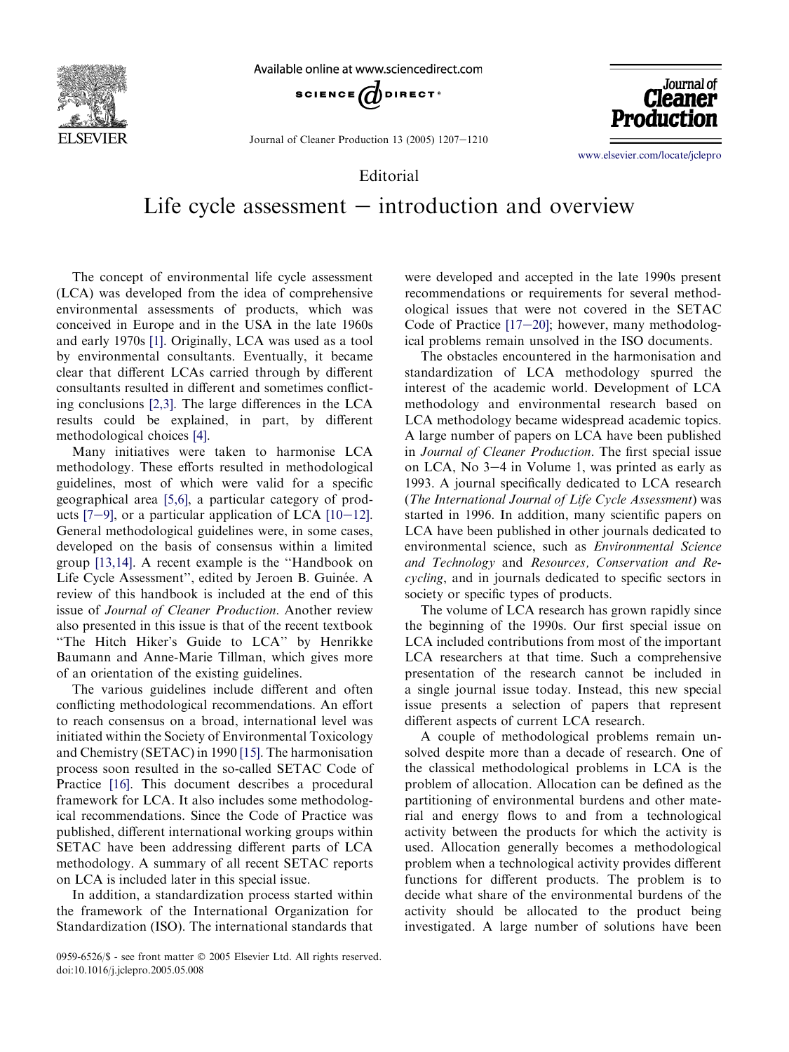

Available online at www.sciencedirect.com



Journal of Cleaner Production  $13$  (2005)  $1207-1210$ 



[www.elsevier.com/locate/jclepro](http://www.elsevier.com/locate/jclepro)

# Editorial

# Life cycle assessment  $-$  introduction and overview

The concept of environmental life cycle assessment (LCA) was developed from the idea of comprehensive environmental assessments of products, which was conceived in Europe and in the USA in the late 1960s and early 1970s [\[1\]](#page-3-0). Originally, LCA was used as a tool by environmental consultants. Eventually, it became clear that different LCAs carried through by different consultants resulted in different and sometimes conflicting conclusions [\[2,3\].](#page-3-0) The large differences in the LCA results could be explained, in part, by different methodological choices [\[4\]](#page-3-0).

Many initiatives were taken to harmonise LCA methodology. These efforts resulted in methodological guidelines, most of which were valid for a specific geographical area [\[5,6\],](#page-3-0) a particular category of products  $[7-9]$  $[7-9]$ , or a particular application of LCA  $[10-12]$  $[10-12]$ . General methodological guidelines were, in some cases, developed on the basis of consensus within a limited group [\[13,14\].](#page-3-0) A recent example is the ''Handbook on Life Cycle Assessment", edited by Jeroen B. Guinée. A review of this handbook is included at the end of this issue of Journal of Cleaner Production. Another review also presented in this issue is that of the recent textbook ''The Hitch Hiker's Guide to LCA'' by Henrikke Baumann and Anne-Marie Tillman, which gives more of an orientation of the existing guidelines.

The various guidelines include different and often conflicting methodological recommendations. An effort to reach consensus on a broad, international level was initiated within the Society of Environmental Toxicology and Chemistry (SETAC) in 1990 [\[15\]](#page-3-0). The harmonisation process soon resulted in the so-called SETAC Code of Practice [\[16\].](#page-3-0) This document describes a procedural framework for LCA. It also includes some methodological recommendations. Since the Code of Practice was published, different international working groups within SETAC have been addressing different parts of LCA methodology. A summary of all recent SETAC reports on LCA is included later in this special issue.

In addition, a standardization process started within the framework of the International Organization for Standardization (ISO). The international standards that

were developed and accepted in the late 1990s present recommendations or requirements for several methodological issues that were not covered in the SETAC Code of Practice  $[17-20]$  $[17-20]$ ; however, many methodological problems remain unsolved in the ISO documents.

The obstacles encountered in the harmonisation and standardization of LCA methodology spurred the interest of the academic world. Development of LCA methodology and environmental research based on LCA methodology became widespread academic topics. A large number of papers on LCA have been published in Journal of Cleaner Production. The first special issue on LCA, No  $3-4$  in Volume 1, was printed as early as 1993. A journal specifically dedicated to LCA research (The International Journal of Life Cycle Assessment) was started in 1996. In addition, many scientific papers on LCA have been published in other journals dedicated to environmental science, such as Environmental Science and Technology and Resources, Conservation and Recycling, and in journals dedicated to specific sectors in society or specific types of products.

The volume of LCA research has grown rapidly since the beginning of the 1990s. Our first special issue on LCA included contributions from most of the important LCA researchers at that time. Such a comprehensive presentation of the research cannot be included in a single journal issue today. Instead, this new special issue presents a selection of papers that represent different aspects of current LCA research.

A couple of methodological problems remain unsolved despite more than a decade of research. One of the classical methodological problems in LCA is the problem of allocation. Allocation can be defined as the partitioning of environmental burdens and other material and energy flows to and from a technological activity between the products for which the activity is used. Allocation generally becomes a methodological problem when a technological activity provides different functions for different products. The problem is to decide what share of the environmental burdens of the activity should be allocated to the product being investigated. A large number of solutions have been

<sup>0959-6526/\$ -</sup> see front matter © 2005 Elsevier Ltd. All rights reserved. doi:10.1016/j.jclepro.2005.05.008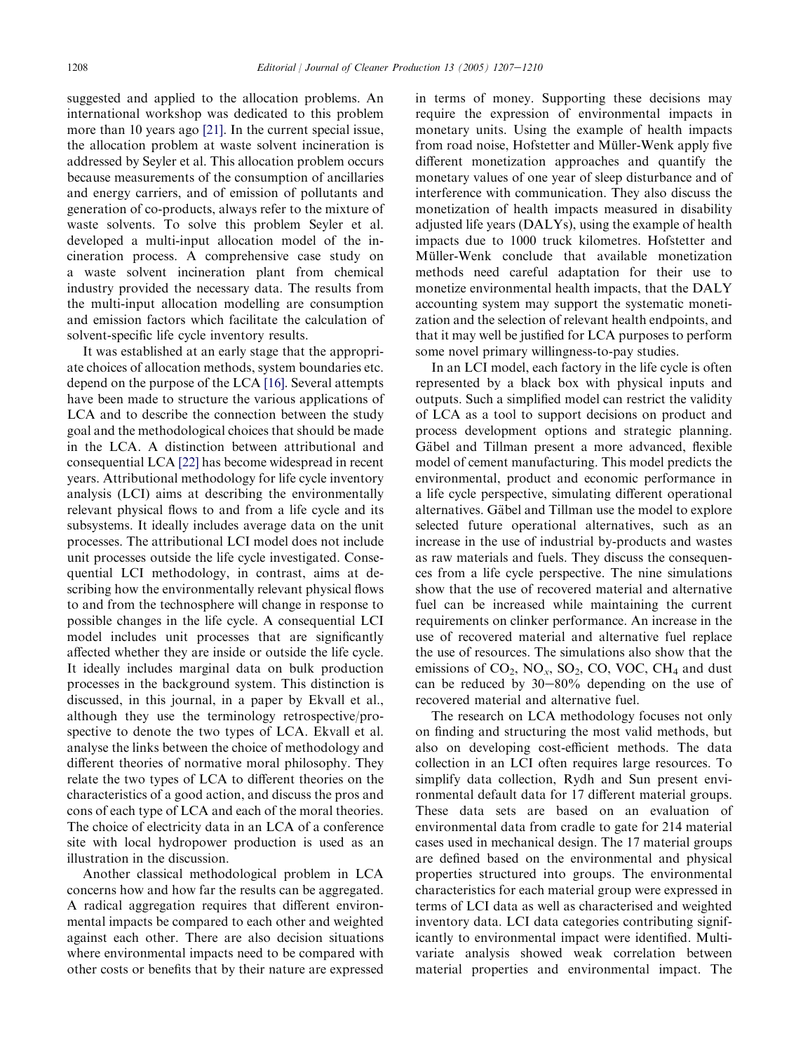suggested and applied to the allocation problems. An international workshop was dedicated to this problem more than 10 years ago [\[21\].](#page-3-0) In the current special issue, the allocation problem at waste solvent incineration is addressed by Seyler et al. This allocation problem occurs because measurements of the consumption of ancillaries and energy carriers, and of emission of pollutants and generation of co-products, always refer to the mixture of waste solvents. To solve this problem Seyler et al. developed a multi-input allocation model of the incineration process. A comprehensive case study on a waste solvent incineration plant from chemical industry provided the necessary data. The results from the multi-input allocation modelling are consumption and emission factors which facilitate the calculation of solvent-specific life cycle inventory results.

It was established at an early stage that the appropriate choices of allocation methods, system boundaries etc. depend on the purpose of the LCA [\[16\].](#page-3-0) Several attempts have been made to structure the various applications of LCA and to describe the connection between the study goal and the methodological choices that should be made in the LCA. A distinction between attributional and consequential LCA [\[22\]](#page-3-0) has become widespread in recent years. Attributional methodology for life cycle inventory analysis (LCI) aims at describing the environmentally relevant physical flows to and from a life cycle and its subsystems. It ideally includes average data on the unit processes. The attributional LCI model does not include unit processes outside the life cycle investigated. Consequential LCI methodology, in contrast, aims at describing how the environmentally relevant physical flows to and from the technosphere will change in response to possible changes in the life cycle. A consequential LCI model includes unit processes that are significantly affected whether they are inside or outside the life cycle. It ideally includes marginal data on bulk production processes in the background system. This distinction is discussed, in this journal, in a paper by Ekvall et al., although they use the terminology retrospective/prospective to denote the two types of LCA. Ekvall et al. analyse the links between the choice of methodology and different theories of normative moral philosophy. They relate the two types of LCA to different theories on the characteristics of a good action, and discuss the pros and cons of each type of LCA and each of the moral theories. The choice of electricity data in an LCA of a conference site with local hydropower production is used as an illustration in the discussion.

Another classical methodological problem in LCA concerns how and how far the results can be aggregated. A radical aggregation requires that different environmental impacts be compared to each other and weighted against each other. There are also decision situations where environmental impacts need to be compared with other costs or benefits that by their nature are expressed in terms of money. Supporting these decisions may require the expression of environmental impacts in monetary units. Using the example of health impacts from road noise, Hofstetter and Müller-Wenk apply five different monetization approaches and quantify the monetary values of one year of sleep disturbance and of interference with communication. They also discuss the monetization of health impacts measured in disability adjusted life years (DALYs), using the example of health impacts due to 1000 truck kilometres. Hofstetter and Müller-Wenk conclude that available monetization methods need careful adaptation for their use to monetize environmental health impacts, that the DALY accounting system may support the systematic monetization and the selection of relevant health endpoints, and that it may well be justified for LCA purposes to perform some novel primary willingness-to-pay studies.

In an LCI model, each factory in the life cycle is often represented by a black box with physical inputs and outputs. Such a simplified model can restrict the validity of LCA as a tool to support decisions on product and process development options and strategic planning. Gäbel and Tillman present a more advanced, flexible model of cement manufacturing. This model predicts the environmental, product and economic performance in a life cycle perspective, simulating different operational alternatives. Gäbel and Tillman use the model to explore selected future operational alternatives, such as an increase in the use of industrial by-products and wastes as raw materials and fuels. They discuss the consequences from a life cycle perspective. The nine simulations show that the use of recovered material and alternative fuel can be increased while maintaining the current requirements on clinker performance. An increase in the use of recovered material and alternative fuel replace the use of resources. The simulations also show that the emissions of  $CO_2$ ,  $NO_x$ ,  $SO_2$ ,  $CO$ ,  $VOC$ ,  $CH_4$  and dust can be reduced by  $30-80%$  depending on the use of recovered material and alternative fuel.

The research on LCA methodology focuses not only on finding and structuring the most valid methods, but also on developing cost-efficient methods. The data collection in an LCI often requires large resources. To simplify data collection, Rydh and Sun present environmental default data for 17 different material groups. These data sets are based on an evaluation of environmental data from cradle to gate for 214 material cases used in mechanical design. The 17 material groups are defined based on the environmental and physical properties structured into groups. The environmental characteristics for each material group were expressed in terms of LCI data as well as characterised and weighted inventory data. LCI data categories contributing significantly to environmental impact were identified. Multivariate analysis showed weak correlation between material properties and environmental impact. The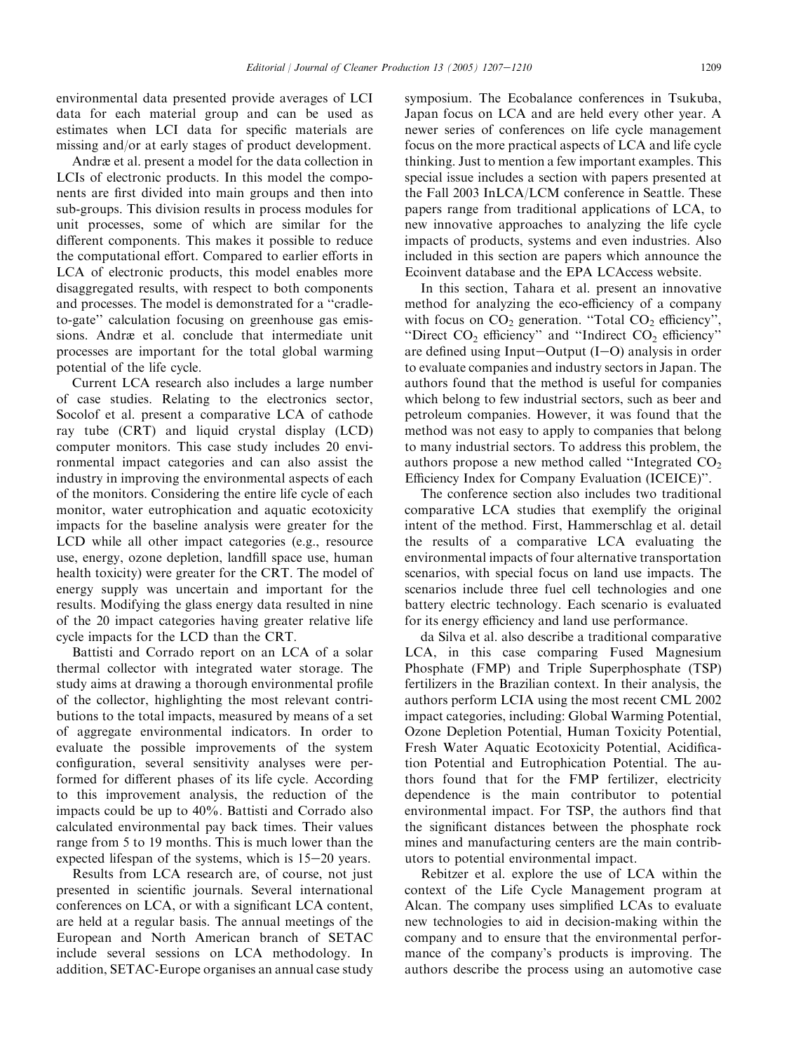environmental data presented provide averages of LCI data for each material group and can be used as estimates when LCI data for specific materials are missing and/or at early stages of product development.

Andræ et al. present a model for the data collection in LCIs of electronic products. In this model the components are first divided into main groups and then into sub-groups. This division results in process modules for unit processes, some of which are similar for the different components. This makes it possible to reduce the computational effort. Compared to earlier efforts in LCA of electronic products, this model enables more disaggregated results, with respect to both components and processes. The model is demonstrated for a ''cradleto-gate'' calculation focusing on greenhouse gas emissions. Andræ et al. conclude that intermediate unit processes are important for the total global warming potential of the life cycle.

Current LCA research also includes a large number of case studies. Relating to the electronics sector, Socolof et al. present a comparative LCA of cathode ray tube (CRT) and liquid crystal display (LCD) computer monitors. This case study includes 20 environmental impact categories and can also assist the industry in improving the environmental aspects of each of the monitors. Considering the entire life cycle of each monitor, water eutrophication and aquatic ecotoxicity impacts for the baseline analysis were greater for the LCD while all other impact categories (e.g., resource use, energy, ozone depletion, landfill space use, human health toxicity) were greater for the CRT. The model of energy supply was uncertain and important for the results. Modifying the glass energy data resulted in nine of the 20 impact categories having greater relative life cycle impacts for the LCD than the CRT.

Battisti and Corrado report on an LCA of a solar thermal collector with integrated water storage. The study aims at drawing a thorough environmental profile of the collector, highlighting the most relevant contributions to the total impacts, measured by means of a set of aggregate environmental indicators. In order to evaluate the possible improvements of the system configuration, several sensitivity analyses were performed for different phases of its life cycle. According to this improvement analysis, the reduction of the impacts could be up to 40%. Battisti and Corrado also calculated environmental pay back times. Their values range from 5 to 19 months. This is much lower than the expected lifespan of the systems, which is  $15-20$  years.

Results from LCA research are, of course, not just presented in scientific journals. Several international conferences on LCA, or with a significant LCA content, are held at a regular basis. The annual meetings of the European and North American branch of SETAC include several sessions on LCA methodology. In addition, SETAC-Europe organises an annual case study

symposium. The Ecobalance conferences in Tsukuba, Japan focus on LCA and are held every other year. A newer series of conferences on life cycle management focus on the more practical aspects of LCA and life cycle thinking. Just to mention a few important examples. This special issue includes a section with papers presented at the Fall 2003 InLCA/LCM conference in Seattle. These papers range from traditional applications of LCA, to new innovative approaches to analyzing the life cycle impacts of products, systems and even industries. Also included in this section are papers which announce the Ecoinvent database and the EPA LCAccess website.

In this section, Tahara et al. present an innovative method for analyzing the eco-efficiency of a company with focus on  $CO<sub>2</sub>$  generation. "Total  $CO<sub>2</sub>$  efficiency", "Direct CO<sub>2</sub> efficiency" and "Indirect CO<sub>2</sub> efficiency" are defined using Input-Output  $(I-O)$  analysis in order to evaluate companies and industry sectors in Japan. The authors found that the method is useful for companies which belong to few industrial sectors, such as beer and petroleum companies. However, it was found that the method was not easy to apply to companies that belong to many industrial sectors. To address this problem, the authors propose a new method called "Integrated  $CO<sub>2</sub>$ Efficiency Index for Company Evaluation (ICEICE)''.

The conference section also includes two traditional comparative LCA studies that exemplify the original intent of the method. First, Hammerschlag et al. detail the results of a comparative LCA evaluating the environmental impacts of four alternative transportation scenarios, with special focus on land use impacts. The scenarios include three fuel cell technologies and one battery electric technology. Each scenario is evaluated for its energy efficiency and land use performance.

da Silva et al. also describe a traditional comparative LCA, in this case comparing Fused Magnesium Phosphate (FMP) and Triple Superphosphate (TSP) fertilizers in the Brazilian context. In their analysis, the authors perform LCIA using the most recent CML 2002 impact categories, including: Global Warming Potential, Ozone Depletion Potential, Human Toxicity Potential, Fresh Water Aquatic Ecotoxicity Potential, Acidification Potential and Eutrophication Potential. The authors found that for the FMP fertilizer, electricity dependence is the main contributor to potential environmental impact. For TSP, the authors find that the significant distances between the phosphate rock mines and manufacturing centers are the main contributors to potential environmental impact.

Rebitzer et al. explore the use of LCA within the context of the Life Cycle Management program at Alcan. The company uses simplified LCAs to evaluate new technologies to aid in decision-making within the company and to ensure that the environmental performance of the company's products is improving. The authors describe the process using an automotive case